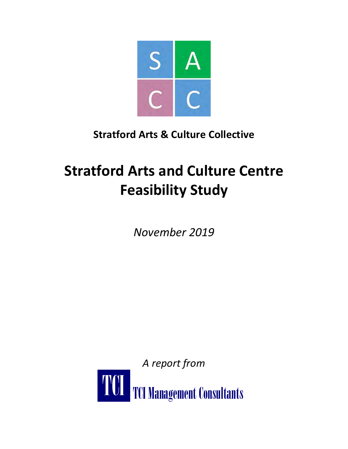

## **Stratford Arts & Culture Collective**

# **Stratford Arts and Culture Centre Feasibility Study**

*November 2019*

*A report from*

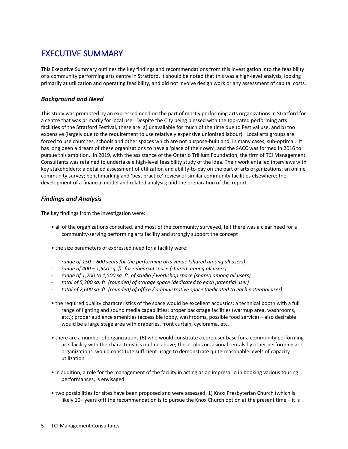### EXECUTIVE SUMMARY

This Executive Summary outlines the key findings and recommendations from this investigation into the feasibility of a community performing arts centre in Stratford. It should be noted that this was a high-level analysis, looking primarily at utilization and operating feasibility, and did not involve design work or any assessment of capital costs.

#### *Background and Need*

This study was prompted by an expressed need on the part of mostly performing arts organizations in Stratford for a centre that was primarily for local use. Despite the City being blessed with the top-rated performing arts facilities of the Stratford Festival, these are: a) unavailable for much of the time due to Festival use, and b) too expensive (largely due to the requirement to use relatively expensive unionized labour). Local arts groups are forced to use churches, schools and other spaces which are not purpose-built and, in many cases, sub-optimal. It has long been a dream of these organizations to have a 'place of their own', and the SACC was formed in 2016 to pursue this ambition. In 2019, with the assistance of the Ontario Trillium Foundation, the firm of TCI Management Consultants was retained to undertake a high-level feasibility study of the idea. Their work entailed interviews with key stakeholders; a detailed assessment of utilization and ability-to-pay on the part of arts organizations; an online community survey; benchmarking and 'best practice' review of similar community facilities elsewhere; the development of a financial model and related analysis; and the preparation of this report.

#### *Findings and Analysis*

The key findings from the investigation were:

- all of the organizations consulted, and most of the community surveyed, felt there was a clear need for a community-serving performing arts facility and strongly support the concept
- the size parameters of expressed need for a facility were:
- *range of 150 – 600 seats for the performing arts venue (shared among all users)*
- *range of 400 – 1,500 sq. ft. for rehearsal space (shared among all users)*
- *range of 1,200 to 1,500 sq. ft. of studio / workshop space (shared among all users)*
- *total of 5,300 sq. ft. (rounded) of storage space (dedicated to each potential user)*
- *total of 2,600 sq. ft. (rounded) of office / administrative space (dedicated to each potential user)*
- the required quality characteristics of the space would be excellent acoustics; a technical booth with a full range of lighting and sound media capabilities; proper backstage facilities (warmup area, washrooms, etc.); proper audience amenities (accessible lobby, washrooms, possible food service) – also desirable would be a large stage area with draperies, front curtain, cyclorama, etc.
- there are a number of organizations (6) who would constitute a core user base for a community performing arts facility with the characteristics outline above; these, plus occasional rentals by other performing arts organizations, would constitute sufficient usage to demonstrate quite reasonable levels of capacity utilization
- in addition, a role for the management of the facility in acting as an impresario in booking various touring performances, is envisaged
- two possibilities for sites have been proposed and were assessed: 1) Knox Presbyterian Church (which is likely 10+ years off) the recommendation is to pursue the Knox Church option at the present time – it is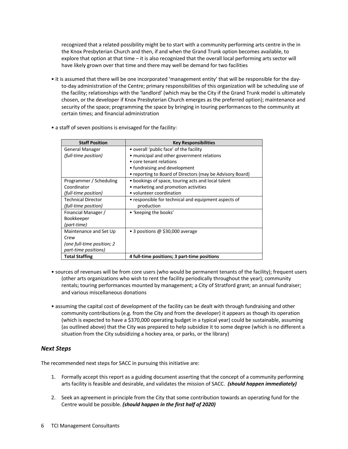recognized that a related possibility might be to start with a community performing arts centre in the in the Knox Presbyterian Church and then, if and when the Grand Trunk option becomes available, to explore that option at that time – it is also recognized that the overall local performing arts sector will have likely grown over that time and there may well be demand for two facilities

- it is assumed that there will be one incorporated 'management entity' that will be responsible for the dayto-day administration of the Centre; primary responsibilities of this organization will be scheduling use of the facility; relationships with the 'landlord' (which may be the City if the Grand Trunk model is ultimately chosen, or the developer if Knox Presbyterian Church emerges as the preferred option); maintenance and security of the space; programming the space by bringing in touring performances to the community at certain times; and financial administration
- a staff of seven positions is envisaged for the facility:

| <b>Staff Position</b>      | <b>Key Responsibilities</b>                               |
|----------------------------|-----------------------------------------------------------|
| General Manager            | • overall 'public face' of the facility                   |
| (full-time position)       | • municipal and other government relations                |
|                            | • core tenant relations                                   |
|                            | • fundraising and development                             |
|                            | • reporting to Board of Directors (may be Advisory Board) |
| Programmer / Scheduling    | • bookings of space, touring acts and local talent        |
| Coordinator                | • marketing and promotion activities                      |
| (full-time position)       | • volunteer coordination                                  |
| <b>Technical Director</b>  | • responsible for technical and equipment aspects of      |
| (full-time position)       | production                                                |
| Financial Manager /        | • 'keeping the books'                                     |
| Bookkeeper                 |                                                           |
| (part-time)                |                                                           |
| Maintenance and Set Up     | • 3 positions @ \$30,000 average                          |
| Crew                       |                                                           |
| (one full-time position; 2 |                                                           |
| part-time positions)       |                                                           |
| <b>Total Staffing</b>      | 4 full-time positions; 3 part-time positions              |

- sources of revenues will be from core users (who would be permanent tenants of the facility); frequent users (other arts organizations who wish to rent the facility periodically throughout the year); community rentals; touring performances mounted by management; a City of Stratford grant; an annual fundraiser; and various miscellaneous donations
- assuming the capital cost of development of the facility can be dealt with through fundraising and other community contributions (e.g. from the City and from the developer) it appears as though its operation (which is expected to have a \$370,000 operating budget in a typical year) could be sustainable, assuming (as outlined above) that the City was prepared to help subsidize it to some degree (which is no different a situation from the City subsidizing a hockey area, or parks, or the library)

#### *Next Steps*

The recommended next steps for SACC in pursuing this initiative are:

- 1. Formally accept this report as a guiding document asserting that the concept of a community performing arts facility is feasible and desirable, and validates the mission of SACC. *(should happen immediately)*
- 2. Seek an agreement in principle from the City that some contribution towards an operating fund for the Centre would be possible. *(should happen in the first half of 2020)*